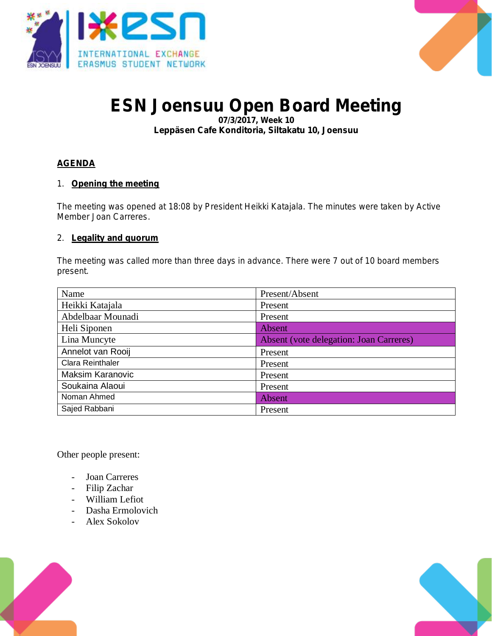



# **ESN Joensuu Open Board Meeting**

**07/3/2017, Week 10 Leppäsen Cafe Konditoria, Siltakatu 10, Joensuu**

# **AGENDA**

**1. Opening the meeting**

**The meeting was opened at 18:08 by President Heikki Katajala. The minutes were taken by Active Member Joan Carreres.**

**2. Legality and quorum**

**The meeting was called more than three days in advance. There were 7 out of 10 board members present.**

| Name                    | Present/Absent                                 |
|-------------------------|------------------------------------------------|
| Heikki Katajala         | Present                                        |
| Abdelbaar Mounadi       | Present                                        |
| Heli Siponen            | <b>Absent</b>                                  |
| Lina Muncyte            | <b>Absent (vote delegation: Joan Carreres)</b> |
| Annelot van Rooij       | Present                                        |
| Clara Reinthaler        | Present                                        |
| <b>Maksim Karanovic</b> | Present                                        |
| Soukaina Alaoui         | Present                                        |
| Noman Ahmed             | Absent                                         |
| Sajed Rabbani           | Present                                        |

Other people present:

- Joan Carreres
- Filip Zachar
- William Lefiot
- Dasha Ermolovich
- Alex Sokolov



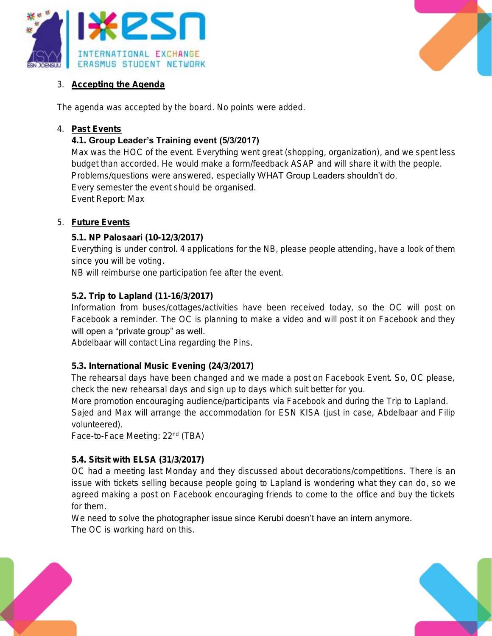



# **3. Accepting the Agenda**

**The agenda was accepted by the board. No points were added.** 

#### **4. Past Events**

## **4.1. Group Leader's Training event (5/3/2017)**

**Max was the HOC of the event. Everything went great (shopping, organization), and we spent less budget than accorded. He would make a form/feedback ASAP and will share it with the people. Problems/questions were answered, especially WHAT Group Leaders shouldn't do. Every semester the event should be organised. Event Report: Max**

## **5. Future Events**

## **5.1. NP Palosaari (10-12/3/2017)**

**Everything is under control. 4 applications for the NB, please people attending, have a look of them since you will be voting.** 

**NB will reimburse one participation fee after the event.** 

#### **5.2. Trip to Lapland (11-16/3/2017)**

**Information from buses/cottages/activities have been received today, so the OC will post on Facebook a reminder. The OC is planning to make a video and will post it on Facebook and they** 

# **will open a "private group" as well.**

**Abdelbaar will contact Lina regarding the Pins.** 

#### **5.3. International Music Evening (24/3/2017)**

**The rehearsal days have been changed and we made a post on Facebook Event. So, OC please, check the new rehearsal days and sign up to days which suit better for you.** 

**More promotion encouraging audience/participants via Facebook and during the Trip to Lapland. Sajed and Max will arrange the accommodation for ESN KISA (just in case, Abdelbaar and Filip volunteered).** 

**Face-to-Face Meeting: 22nd (TBA)**

## **5.4. Sitsit with ELSA (31/3/2017)**

**OC had a meeting last Monday and they discussed about decorations/competitions. There is an issue with tickets selling because people going to Lapland is wondering what they can do, so we agreed making a post on Facebook encouraging friends to come to the office and buy the tickets for them.** 

**We need to solve the photographer issue since Kerubi doesn't have an intern anymore. The OC is working hard on this.**